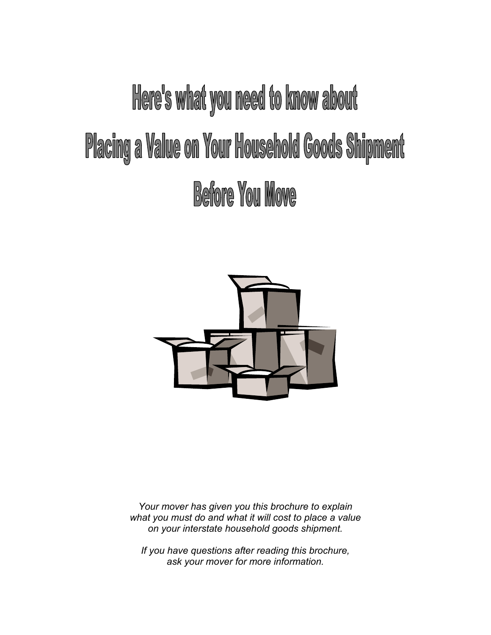# Here's what you need to know about **Placing a Value on Your Household Goods Shipment Before You Move**



*Your mover has given you this brochure to explain what you must do and what it will cost to place a value on your interstate household goods shipment.* 

*If you have questions after reading this brochure, ask your mover for more information.*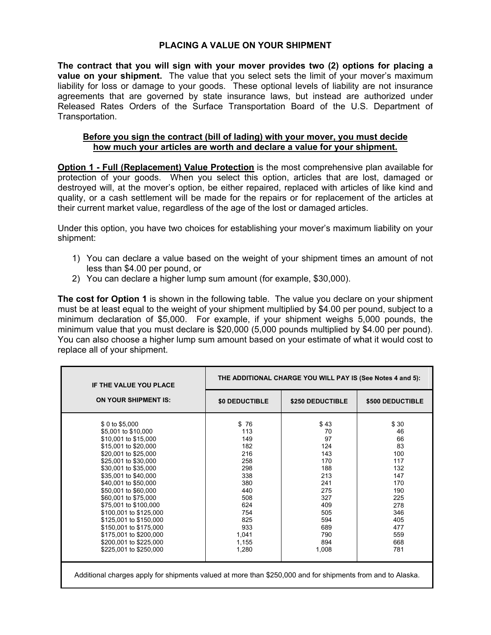### **PLACING A VALUE ON YOUR SHIPMENT**

**The contract that you will sign with your mover provides two (2) options for placing a value on your shipment.** The value that you select sets the limit of your mover's maximum liability for loss or damage to your goods. These optional levels of liability are not insurance agreements that are governed by state insurance laws, but instead are authorized under Released Rates Orders of the Surface Transportation Board of the U.S. Department of Transportation.

#### **Before you sign the contract (bill of lading) with your mover, you must decide how much your articles are worth and declare a value for your shipment.**

**Option 1 - Full (Replacement) Value Protection** is the most comprehensive plan available for protection of your goods. When you select this option, articles that are lost, damaged or destroyed will, at the mover's option, be either repaired, replaced with articles of like kind and quality, or a cash settlement will be made for the repairs or for replacement of the articles at their current market value, regardless of the age of the lost or damaged articles.

Under this option, you have two choices for establishing your mover's maximum liability on your shipment:

- 1) You can declare a value based on the weight of your shipment times an amount of not less than \$4.00 per pound, or
- 2) You can declare a higher lump sum amount (for example, \$30,000).

**The cost for Option 1** is shown in the following table. The value you declare on your shipment must be at least equal to the weight of your shipment multiplied by \$4.00 per pound, subject to a minimum declaration of \$5,000. For example, if your shipment weighs 5,000 pounds, the minimum value that you must declare is \$20,000 (5,000 pounds multiplied by \$4.00 per pound). You can also choose a higher lump sum amount based on your estimate of what it would cost to replace all of your shipment.

| <b>IF THE VALUE YOU PLACE</b>                                                                                                                                                                                                                                                                                                                                                                   | THE ADDITIONAL CHARGE YOU WILL PAY IS (See Notes 4 and 5):                                                      |                                                                                                             |                                                                                                            |  |
|-------------------------------------------------------------------------------------------------------------------------------------------------------------------------------------------------------------------------------------------------------------------------------------------------------------------------------------------------------------------------------------------------|-----------------------------------------------------------------------------------------------------------------|-------------------------------------------------------------------------------------------------------------|------------------------------------------------------------------------------------------------------------|--|
| <b>ON YOUR SHIPMENT IS:</b>                                                                                                                                                                                                                                                                                                                                                                     | <b>\$0 DEDUCTIBLE</b>                                                                                           | \$250 DEDUCTIBLE                                                                                            | \$500 DEDUCTIBLE                                                                                           |  |
| \$ 0 to \$5,000<br>\$5,001 to \$10,000<br>\$10,001 to \$15,000<br>\$15,001 to \$20,000<br>\$20,001 to \$25,000<br>\$25,001 to \$30,000<br>\$30,001 to \$35,000<br>\$35,001 to \$40,000<br>\$40,001 to \$50,000<br>\$50,001 to \$60,000<br>\$60,001 to \$75,000<br>\$75,001 to \$100,000<br>\$100,001 to \$125,000<br>\$125,001 to \$150,000<br>\$150,001 to \$175,000<br>\$175,001 to \$200,000 | \$76<br>113<br>149<br>182<br>216<br>258<br>298<br>338<br>380<br>440<br>508<br>624<br>754<br>825<br>933<br>1,041 | \$43<br>70<br>97<br>124<br>143<br>170<br>188<br>213<br>241<br>275<br>327<br>409<br>505<br>594<br>689<br>790 | \$30<br>46<br>66<br>83<br>100<br>117<br>132<br>147<br>170<br>190<br>225<br>278<br>346<br>405<br>477<br>559 |  |
| \$200,001 to \$225,000<br>\$225,001 to \$250,000                                                                                                                                                                                                                                                                                                                                                | 1,155<br>1,280                                                                                                  | 894<br>1,008                                                                                                | 668<br>781                                                                                                 |  |
| Additional charges apply for shipments valued at more than \$250,000 and for shipments from and to Alaska.                                                                                                                                                                                                                                                                                      |                                                                                                                 |                                                                                                             |                                                                                                            |  |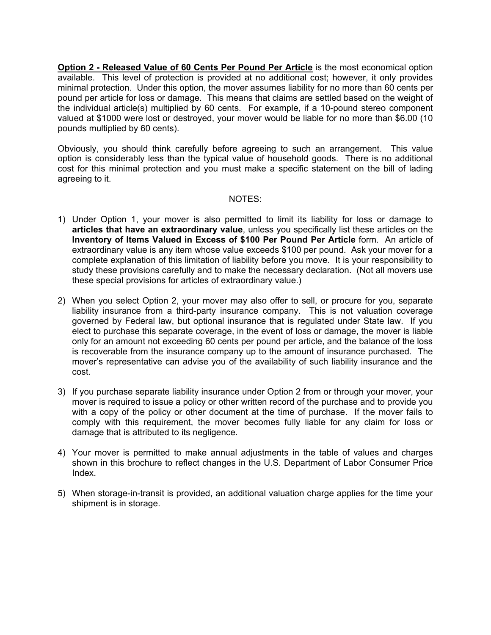**Option 2 - Released Value of 60 Cents Per Pound Per Article** is the most economical option available. This level of protection is provided at no additional cost; however, it only provides minimal protection. Under this option, the mover assumes liability for no more than 60 cents per pound per article for loss or damage. This means that claims are settled based on the weight of the individual article(s) multiplied by 60 cents. For example, if a 10-pound stereo component valued at \$1000 were lost or destroyed, your mover would be liable for no more than \$6.00 (10 pounds multiplied by 60 cents).

Obviously, you should think carefully before agreeing to such an arrangement. This value option is considerably less than the typical value of household goods. There is no additional cost for this minimal protection and you must make a specific statement on the bill of lading agreeing to it.

#### NOTES:

- 1) Under Option 1, your mover is also permitted to limit its liability for loss or damage to **articles that have an extraordinary value**, unless you specifically list these articles on the **Inventory of Items Valued in Excess of \$100 Per Pound Per Article** form.An article of extraordinary value is any item whose value exceeds \$100 per pound. Ask your mover for a complete explanation of this limitation of liability before you move. It is your responsibility to study these provisions carefully and to make the necessary declaration. (Not all movers use these special provisions for articles of extraordinary value.)
- 2) When you select Option 2, your mover may also offer to sell, or procure for you, separate liability insurance from a third-party insurance company. This is not valuation coverage governed by Federal law, but optional insurance that is regulated under State law. If you elect to purchase this separate coverage, in the event of loss or damage, the mover is liable only for an amount not exceeding 60 cents per pound per article, and the balance of the loss is recoverable from the insurance company up to the amount of insurance purchased. The mover's representative can advise you of the availability of such liability insurance and the cost.
- 3) If you purchase separate liability insurance under Option 2 from or through your mover, your mover is required to issue a policy or other written record of the purchase and to provide you with a copy of the policy or other document at the time of purchase. If the mover fails to comply with this requirement, the mover becomes fully liable for any claim for loss or damage that is attributed to its negligence.
- 4) Your mover is permitted to make annual adjustments in the table of values and charges shown in this brochure to reflect changes in the U.S. Department of Labor Consumer Price Index.
- 5) When storage-in-transit is provided, an additional valuation charge applies for the time your shipment is in storage.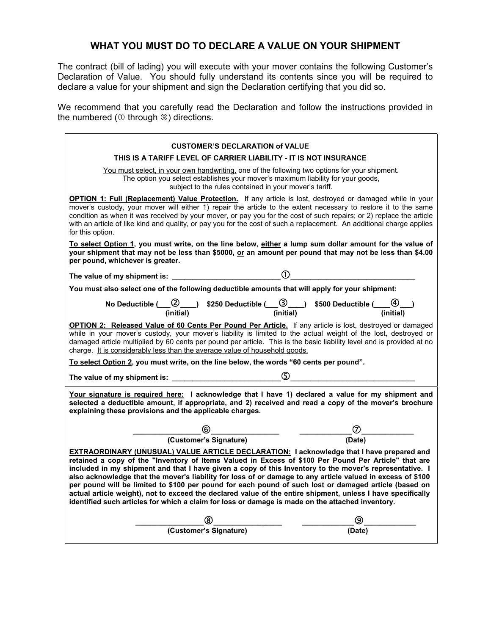## **WHAT YOU MUST DO TO DECLARE A VALUE ON YOUR SHIPMENT**

The contract (bill of lading) you will execute with your mover contains the following Customer's Declaration of Value. You should fully understand its contents since you will be required to declare a value for your shipment and sign the Declaration certifying that you did so.

We recommend that you carefully read the Declaration and follow the instructions provided in the numbered ( $\odot$  through  $\odot$ ) directions.

| <b>CUSTOMER'S DECLARATION of VALUE</b>                                                                                                                                                                                                                                                                                                                                                                                                                                                                                                                                                                                                                                                                                                                 |        |  |  |  |
|--------------------------------------------------------------------------------------------------------------------------------------------------------------------------------------------------------------------------------------------------------------------------------------------------------------------------------------------------------------------------------------------------------------------------------------------------------------------------------------------------------------------------------------------------------------------------------------------------------------------------------------------------------------------------------------------------------------------------------------------------------|--------|--|--|--|
| THIS IS A TARIFF LEVEL OF CARRIER LIABILITY - IT IS NOT INSURANCE                                                                                                                                                                                                                                                                                                                                                                                                                                                                                                                                                                                                                                                                                      |        |  |  |  |
| You must select, in your own handwriting, one of the following two options for your shipment.<br>The option you select establishes your mover's maximum liability for your goods,<br>subject to the rules contained in your mover's tariff.                                                                                                                                                                                                                                                                                                                                                                                                                                                                                                            |        |  |  |  |
| OPTION 1: Full (Replacement) Value Protection. If any article is lost, destroyed or damaged while in your<br>mover's custody, your mover will either 1) repair the article to the extent necessary to restore it to the same<br>condition as when it was received by your mover, or pay you for the cost of such repairs; or 2) replace the article<br>with an article of like kind and quality, or pay you for the cost of such a replacement. An additional charge applies<br>for this option.                                                                                                                                                                                                                                                       |        |  |  |  |
| To select Option 1, you must write, on the line below, either a lump sum dollar amount for the value of<br>your shipment that may not be less than \$5000, or an amount per pound that may not be less than \$4.00<br>per pound, whichever is greater.                                                                                                                                                                                                                                                                                                                                                                                                                                                                                                 |        |  |  |  |
| The value of my shipment is: $\qquad \qquad \qquad \qquad \mathbb{O}$                                                                                                                                                                                                                                                                                                                                                                                                                                                                                                                                                                                                                                                                                  |        |  |  |  |
| You must also select one of the following deductible amounts that will apply for your shipment:                                                                                                                                                                                                                                                                                                                                                                                                                                                                                                                                                                                                                                                        |        |  |  |  |
| No Deductible $(\_\_ \mathbb{Q})$ \$250 Deductible $(\_\_ \mathbb{Q})$ \$500 Deductible $(\_\_ \mathbb{Q})$<br>(initial) (initial)                                                                                                                                                                                                                                                                                                                                                                                                                                                                                                                                                                                                                     |        |  |  |  |
| OPTION 2: Released Value of 60 Cents Per Pound Per Article. If any article is lost, destroyed or damaged<br>while in your mover's custody, your mover's liability is limited to the actual weight of the lost, destroyed or<br>damaged article multiplied by 60 cents per pound per article. This is the basic liability level and is provided at no<br>charge. It is considerably less than the average value of household goods.                                                                                                                                                                                                                                                                                                                     |        |  |  |  |
| To select Option 2, you must write, on the line below, the words "60 cents per pound".                                                                                                                                                                                                                                                                                                                                                                                                                                                                                                                                                                                                                                                                 |        |  |  |  |
| The value of my shipment is: $\_\_$                                                                                                                                                                                                                                                                                                                                                                                                                                                                                                                                                                                                                                                                                                                    |        |  |  |  |
| Your signature is required here: I acknowledge that I have 1) declared a value for my shipment and<br>selected a deductible amount, if appropriate, and 2) received and read a copy of the mover's brochure<br>explaining these provisions and the applicable charges.                                                                                                                                                                                                                                                                                                                                                                                                                                                                                 |        |  |  |  |
|                                                                                                                                                                                                                                                                                                                                                                                                                                                                                                                                                                                                                                                                                                                                                        |        |  |  |  |
| $\overbrace{(\text{Customer's Signature})}^{\textcircled{\textsf{6}}}$                                                                                                                                                                                                                                                                                                                                                                                                                                                                                                                                                                                                                                                                                 |        |  |  |  |
| EXTRAORDINARY (UNUSUAL) VALUE ARTICLE DECLARATION: I acknowledge that I have prepared and<br>retained a copy of the "Inventory of Items Valued in Excess of \$100 Per Pound Per Article" that are<br>included in my shipment and that I have given a copy of this Inventory to the mover's representative. I<br>also acknowledge that the mover's liability for loss of or damage to any article valued in excess of \$100<br>per pound will be limited to \$100 per pound for each pound of such lost or damaged article (based on<br>actual article weight), not to exceed the declared value of the entire shipment, unless I have specifically<br>identified such articles for which a claim for loss or damage is made on the attached inventory. |        |  |  |  |
|                                                                                                                                                                                                                                                                                                                                                                                                                                                                                                                                                                                                                                                                                                                                                        |        |  |  |  |
| (Customer's Signature)                                                                                                                                                                                                                                                                                                                                                                                                                                                                                                                                                                                                                                                                                                                                 | (Date) |  |  |  |
|                                                                                                                                                                                                                                                                                                                                                                                                                                                                                                                                                                                                                                                                                                                                                        |        |  |  |  |